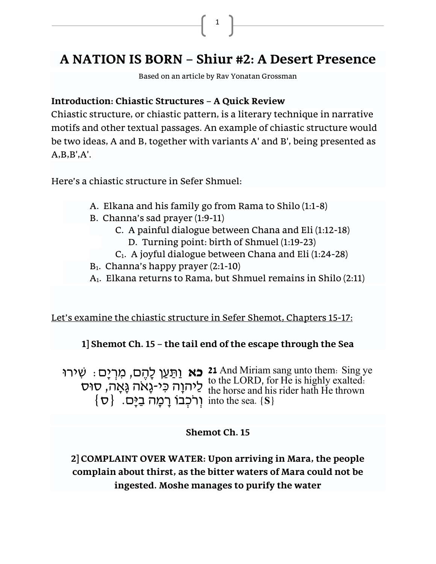# **A NATION IS BORN – Shiur #2: A Desert Presence**

1

Based on an article by Rav Yonatan Grossman

### **Introduction: Chiastic Structures – A Quick Review**

Chiastic structure, or chiastic pattern, is a [literary technique](https://en.wikipedia.org/wiki/Literary_technique) in [narrative](https://en.wikipedia.org/wiki/Motif_(narrative))  [motifs](https://en.wikipedia.org/wiki/Motif_(narrative)) and other textual passages. An example of chiastic structure would be two ideas, A and B, together with variants A' and B', being presented as  $A.B.B'.A'.$ 

Here's a chiastic structure in Sefer Shmuel:

- A. Elkana and his family go from Rama to Shilo (1:1-8)
- B. Channa's sad prayer (1:9-11)
	- C. A painful dialogue between Chana and Eli (1:12-18)
		- D. Turning point: birth of Shmuel (1:19-23)
	- C1. A joyful dialogue between Chana and Eli (1:24-28)
- $B_1$ . Channa's happy prayer  $(2:1-10)$
- A1. Elkana returns to Rama, but Shmuel remains in Shilo (2:11)

Let's examine the chiastic structure in Sefer Shemot, Chapters 15-17:

### **1] Shemot Ch. 15 – the tail end of the escape through the Sea**

**כא** וַתַּעַן לָהֶם, מִרְיָם: שִׁירוּ 21 And Miriam sang unto them: Sing ye<br>**to the LOBD** for He is highly systed. לַיהוָה כִּי-גָאֹה גָּאָה, סוּס  $\{\sigma\}$  וְרֹכְבוֹ רָמָה בַיָּם.  $\{\sigma\}$ to the LORD, for He is highly exalted: the horse and his rider hath He thrown into the sea. **{S}**

### **Shemot Ch. 15**

**2] COMPLAINT OVER WATER: Upon arriving in Mara, the people complain about thirst, as the bitter waters of Mara could not be ingested. Moshe manages to purify the water**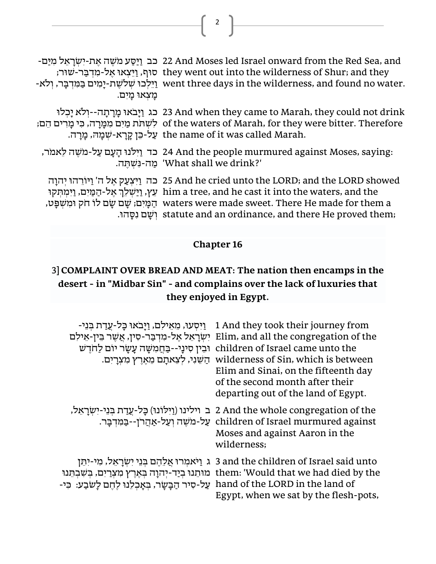| מַצְאוּ מַיִם. | -נב וַיַּסַע מֹשֵׁה אֵת-יִשְׂרָאֵל מִיַּם 22 And Moses led Israel onward from the Red Sea, and<br>; וַיֵּצְאוּ אֵל-מִדְּבֵּר-שׁוּר they went out into the wilderness of Shur; and they<br>-איבר, ולא went three days in the wilderness, and found no water.                                                                                     |
|----------------|-------------------------------------------------------------------------------------------------------------------------------------------------------------------------------------------------------------------------------------------------------------------------------------------------------------------------------------------------|
|                | בג וַיַּבֹאוּ מַרַתְה--וִלֹא יַכְלוּ 23 And when they came to Marah, they could not drink<br>of the waters of Marah, for they were bitter. Therefore לשתת מַיִם מִמַּרַה, כִּי מַרִים הֶם;<br>the name of it was called Marah. עַל-כֵּן קָרַא-שִׁמַהּ, מַרַה.                                                                                   |
|                | :24 And the people murmured against Moses, saying כד וַיִּלֹנוּ הַעַם עַל-מֹשֶׁה לֵאמֹר,<br>'What shall we drink?' מַה-נִשְׁחֵה.                                                                                                                                                                                                                |
|                | בה וַיִּצְעַק אֶל ה' וַיּוֹרֵהוּ יִהוָה 25 And he cried unto the LORD; and the LORD showed<br>tim a tree, and he cast it into the waters, and the עֵץ, וַיַּשְׁלֵךְ אֵל-הַמַּיִם, וַיִּמִתְּקוּ<br>, שם שם לו חק ומשפט waters were made sweet. There He made for them a<br>. וֹשֵׁם נִסֲהוּ statute and an ordinance, and there He proved them; |

2

## **Chapter 16**

# 3**] COMPLAINT OVER BREAD AND MEAT: The nation then encamps in the desert - in "Midbar Sin" - and complains over the lack of luxuries that they enjoyed in Egypt.**

| ַיִּיְסְעוּ, מֶאֵילִם, וַיַּבֹאוּ כַּל-עֲדַת בְּנֵי-<br>יְשְׂרַאֵל אֱל-מִדְבַּר-סִין, אֲשֶׁר בֵין-אֵילִם<br>וּבִין סִינָי--בַחֲמִשָּׁה עָשָׂר יוֹם לַחֹדֵש<br>הַשֶּׁנִי, לִצְאתַם מֵאֶרֶץ מִצְרַיִם. | 1 And they took their journey from<br>Elim, and all the congregation of the<br>children of Israel came unto the<br>wilderness of Sin, which is between<br>Elim and Sinai, on the fifteenth day<br>of the second month after their<br>departing out of the land of Egypt. |
|------------------------------------------------------------------------------------------------------------------------------------------------------------------------------------------------------|--------------------------------------------------------------------------------------------------------------------------------------------------------------------------------------------------------------------------------------------------------------------------|
|                                                                                                                                                                                                      | ב וילינו (וַיִּלוֹנוּ) כָּל-עַדַת בְּנֵי-יִשְׂרָאֵל, 2 And the whole congregation of the<br>children of Israel murmured against עַל-מֹשֶׁה וְעַל-אַהֲרֹן--בַּמִּדְבַּר.<br>Moses and against Aaron in the<br>wilderness;                                                 |
| hand of the LORD in the land of על-סיר הַבַּשַׂר, בִּאֲכִלֶנוּ לָחֵם לָשׂבַע: כִּי-                                                                                                                  | ג וַיֹּאמְרוּ אֱלֶהֶם בִּנֵי יְשְׂרַאֱל, מִי-יְחֵן 3 and the children of Israel said unto<br>them: 'Would that we had died by the מוּתֵנוּ בְיַד-יְהוָה בְּאֶרֶץ מִצְרַיִם, בְּשִׁבְתֵּנוּ<br>Egypt, when we sat by the flesh-pots,                                      |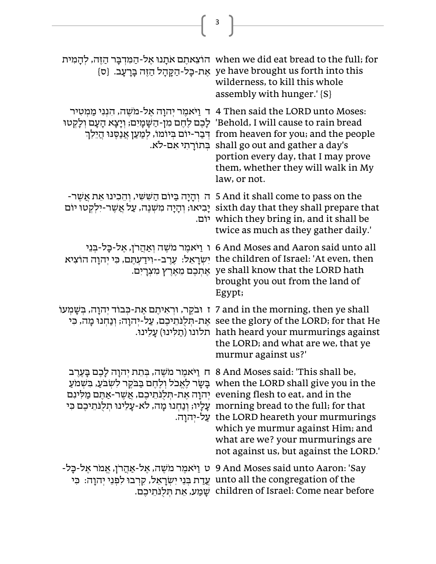|                                                                                    | $\overline{\mathbf{3}}$                                                                                                                                                                                                                                                                                                                                                                                                                                                     |
|------------------------------------------------------------------------------------|-----------------------------------------------------------------------------------------------------------------------------------------------------------------------------------------------------------------------------------------------------------------------------------------------------------------------------------------------------------------------------------------------------------------------------------------------------------------------------|
|                                                                                    |                                                                                                                                                                                                                                                                                                                                                                                                                                                                             |
|                                                                                    | when we did eat bread to the full; for הוֹצֵאתֶם אֹתָנוּ אֶל-הַמִּדְבָּר הַזֶּה, לְהָמִית<br>ye have brought us forth into this אֵת-כָּל-הַקֶּהָל הַזֶּה בָּרָעָב. {ס<br>wilderness, to kill this whole<br>assembly with hunger.' [S]                                                                                                                                                                                                                                       |
|                                                                                    | יר במֹשֶׁה, הִנְנִי מַמְטִיר 4 Then said the LORD unto Moses:<br>Behold, I will cause to rain bread' לָכֶם לֶחֶם מִן-הַשָּׁמָיִם; וְיָצָא הָעָם וְלַקְטוּ<br>from heaven for you; and the people דְּבַר-יוֹם בִּיוֹמוֹ, לִמַעַן אֲנַסֶּנּוּ הַיֵּלֵךְ<br>בתורתי אם-לא. shall go out and gather a day's<br>portion every day, that I may prove<br>them, whether they will walk in My<br>law, or not.                                                                         |
|                                                                                    | ה וְהַיַּה בַּיּוֹם הַשִּׁשִׁי, וְהֵכִינוּ אֶת אֲשֶׁר- 5 And it shall come to pass on the<br>sixth day that they shall prepare that יַבִיאוּ; וְהַיַה מִשְׁנֵה, עַל אֲשֶׁר-יִלְקְטוּ יוֹם<br>יוֹם. which they bring in, and it shall be<br>twice as much as they gather daily.'                                                                                                                                                                                             |
| יְשְׂרָאֵל: עֲרֵב--וְידַעְחֵם, כִּי יְהוָה הוֹצִיא                                 | ו אַמְרוֹן, אֶל-כָּל-בִּנֵי 6 And Moses and Aaron said unto all<br>the children of Israel: 'At even, then<br>אַתְכֶם מֵאֶרֶץ מִצְרָיִם. ye shall know that the LORD hath<br>brought you out from the land of<br>Egypt;                                                                                                                                                                                                                                                      |
|                                                                                    | ז וּבֹקֶר, וּרְאִיתֶם אֶת-כְּבוֹד יְהוָה, בְּשָׁמְעוֹ 7 and in the morning, then ye shall<br>see the glory of the LORD; for that He אֶת-תִּלְנֹּתֵיכֶם, עַל-יִהוָה; וְנַחִנוּ מָה, כִּי<br>תלונו (תַלִּינוּ) hath heard your murmurings against<br>the LORD; and what are we, that ye<br>murmur against us?'                                                                                                                                                                |
| evening flesh to eat, and in the יְהוָה אֵת-תְּלִנְתֵיכֶם, אֲשֶׁר-אַתֵּם מַלִּינָם | , B And Moses said: 'This shall be חַ וַיֹּאמֵר מֹשֶׁה, בִּתֵת יְהוָה לָכֵם בָּעֵרֵב π 8 And Moses said: 'This<br>when the LORD shall give you in the בָשָׂר לֵאֵכֹל וְלַחֵם בַּבֹּקֵר לְשִׂבֹעַ, בִּשְׁמֹעַ<br>morning bread to the full; for that עַלָיו; וְנַחְנוּ מָה, לֹא-עָלֵינוּ תִלְנֹתֵיכֶם כִּי<br>the LORD heareth your murmurings עַל-יִהוַה.<br>which ye murmur against Him; and<br>what are we? your murmurings are<br>not against us, but against the LORD.' |
| ּט וַיֹּאמֶר מֹשֶׁה, אֶל-אַהַרן, אֵמֹר אֶל-כָּל-                                   | 9 And Moses said unto Aaron: 'Say<br>unto all the congregation of the עֲדַת בִּנֵי יִשְׂרָאֵל, קִרְבוּ לִפְנֵי יִהוָה: כִּי<br>children of Israel: Come near before שַׁמַע, אֵת תִּלְנֹּתֵיכֵם.                                                                                                                                                                                                                                                                             |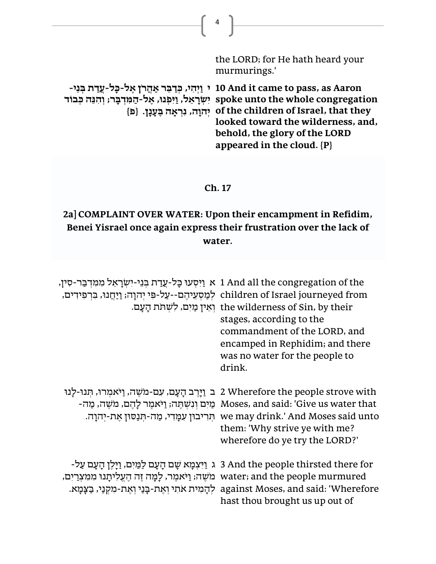| the LORD; for He hath heard your<br>murmurings.'                                                                                                                                                                                                                                                                                                                   |
|--------------------------------------------------------------------------------------------------------------------------------------------------------------------------------------------------------------------------------------------------------------------------------------------------------------------------------------------------------------------|
| י וַיְהִי, כְּדַבֵּר אַהֲרֹן אֶל-כָּל-עֲדַת בְּנֵי 10 And it came to pass, as Aaron<br>spoke unto the whole congregation יִשְׂרָאֵל, וַיִּפְנוּ, אֵל-הַמְּדִבָּר; וְהִנֶּה כִּבוֹד<br>[e] יְהוָה, נִרְאָה בָּעָנָן. [d] the children of Israel, that they<br>looked toward the wilderness, and,<br>behold, the glory of the LORD<br>appeared in the cloud. $\{P\}$ |

 $\left( \begin{array}{c} 4 \end{array} \right)$ 

### **Ch. 17**

# **2a] COMPLAINT OVER WATER: Upon their encampment in Refidim, Benei Yisrael once again express their frustration over the lack of water.**

| א וַיִּסְעוּ כַּל-עֲדַת בְּנֵי-יְשְׂרַאֵל מִמְדְבַּר-סְין, 1 And all the congregation of the<br>children of Israel journeyed from לְמַסְעֵיהֶם--עַל-פִּי יִהוַה; וַיַּחֲנוּ, בִּרְפִידִים, | the wilderness of Sin, by their וְאֵין מַיִם, לִשְׁתֹּת הַעֲם.<br>stages, according to the<br>commandment of the LORD, and<br>encamped in Rephidim; and there<br>was no water for the people to<br>drink.                                                                          |
|--------------------------------------------------------------------------------------------------------------------------------------------------------------------------------------------|------------------------------------------------------------------------------------------------------------------------------------------------------------------------------------------------------------------------------------------------------------------------------------|
| ב וַיַּרֵב הַעֲם, עִם-מֹשֶׁה, וַיֹּאמִרוּ, תִּנוּ-לַנוּ                                                                                                                                    | 2 Wherefore the people strove with<br>Moses, and said: 'Give us water that מַיִם וְנִשְׁתֵּה; וַיֹּאמֵר לַהֵם, מֹשֵׁה, מַה-<br>we may drink.' And Moses said unto תְּרִיבוּן עִמֲדִי, מֲה-תִּנַסוּן אֵת-יִהוָה.<br>them: 'Why strive ye with me?<br>wherefore do ye try the LORD?' |
| water; and the people murmured מֹשֶׁה; וַיֹּאמֵר, לַמַּה זֶה הֵעֱלִיתַנוּ מִמִּצְרַיִם,                                                                                                    | ג וַיִּעְמַא שָׁם הַעֲם לַמַּיִם, וַיַּלֵן הַעָם עַל- 3 And the people thirsted there for<br>against Moses, and said: 'Wherefore לְהָמִית אֹתִי וְאֶת-בְּנַי וְאֶת-מִקְנַי, בַּצָּמָא.<br>hast thou brought us up out of                                                           |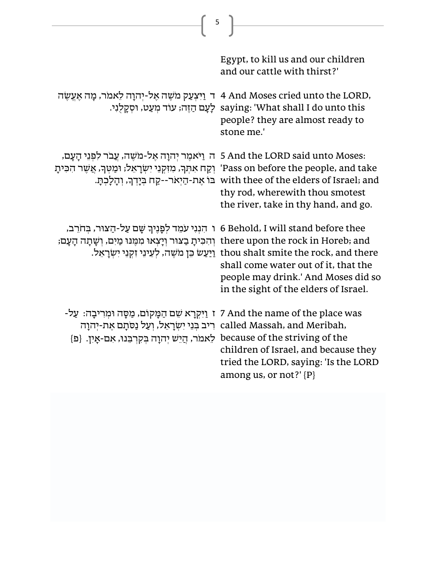| 5                                                                                                                                                                                                                                                      |                                                                                                                                                                                                                  |
|--------------------------------------------------------------------------------------------------------------------------------------------------------------------------------------------------------------------------------------------------------|------------------------------------------------------------------------------------------------------------------------------------------------------------------------------------------------------------------|
|                                                                                                                                                                                                                                                        |                                                                                                                                                                                                                  |
|                                                                                                                                                                                                                                                        | Egypt, to kill us and our children<br>and our cattle with thirst?'                                                                                                                                               |
| ד וַיִּצְעַק מֹשֶׁה אֶל-יִהוָה לַאמֹר, מָה אֶעֱשֶׂה 4 And Moses cried unto the LORD,                                                                                                                                                                   | saying: 'What shall I do unto this לָעָם הַזֶּה; עוֹד מִעַט, וּסְקָלְנִי.<br>people? they are almost ready to<br>stone me.'                                                                                      |
| 5 And the LORD said unto Moses: ה וַיֹּאמֶר יִהוָה אֶל-מֹשֶׁה, עַבֹר לִפְנֵי הָעָם,<br>יַקַח אִתְּךָ, מִזִּקְנֵי יִשְׂרָאֵל; וּמַטְךָ, אֲשֶׁר הִכִּיתָ 'Pass on before the people, and take                                                            | with thee of the elders of Israel; and " בּוֹ אֶת-הַיִאֹר--קַח בִּיָדְךָ, וְהָלָכִתָּ.<br>thy rod, wherewith thou smotest<br>the river, take in thy hand, and go.                                                |
| ו הִנְנִי עֹמֵד לְפָנֶיךְ שָׁם עַל-הַצוּר, בִּחֹרֵב, 6 Behold, I will stand before thee<br>there upon the rock in Horeb; and וְהִכִּיתָ בַצוּר וְיָצְאוּ מִמֶּנוּ מַיִם, וְשָׁתָה הָעָם;                                                               | thou shalt smite the rock, and there וַיַּעַשׂ בֵּן מֹשֶׁה, לִעֵינֵי זִקְנֵי יִשְׂרָאֵל.<br>shall come water out of it, that the<br>people may drink.' And Moses did so<br>in the sight of the elders of Israel. |
| ז וַיִּקְרָא שֵׁם הַמָּקוֹם, מַסָּה וּמִרִיבָה: עַל- 7 And the name of the place was<br>ריב בִּנֵי יִשְׂרָאֵל, וְעַל נַסֹּתָם אֶת-יִהוָה called Massah, and Meribah,<br>because of the striving of the לאמר, הֲיֵשׁ יְהוָה בְקִרְבֵּנוּ, אִם-אָיִן. {פ | children of Israel, and because they<br>tried the LORD, saying: 'Is the LORD<br>among us, or not?' $\{P\}$                                                                                                       |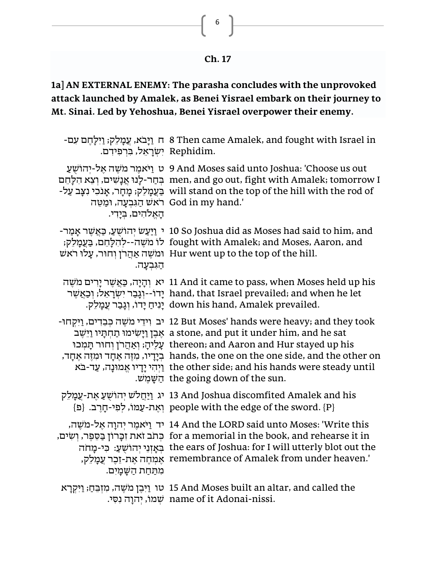| ι.<br>ı<br>٠ |  |
|--------------|--|
|--------------|--|

## **1a] AN EXTERNAL ENEMY: The parasha concludes with the unprovoked attack launched by Amalek, as Benei Yisrael embark on their journey to Mt. Sinai. Led by Yehoshua, Benei Yisrael overpower their enemy.**

| .Rephidim יִשְׂרָאֵל, בִּרְפִידִם. | ר נַיָּבֹא, עֵמָלֵק; וַיִּלָחֶם עִם Then came Amalek, and fought with Israel in                                                                                                                                                                                                                                                                                                                                                                                    |
|------------------------------------|--------------------------------------------------------------------------------------------------------------------------------------------------------------------------------------------------------------------------------------------------------------------------------------------------------------------------------------------------------------------------------------------------------------------------------------------------------------------|
| האלהים, בידי.                      | יהושע 9 And Moses said unto Joshua: 'Choose us out<br>בּחֲר-לָנוּ אֲנָשִׁים, וִצָא הִלָּחֵם men, and go out, fight with Amalek; tomorrow I<br>בַעֲמָלֵק; מָחָר, אָנֹכִי נִצָּב עַל- will stand on the top of the hill with the rod of<br>וּמַטֵּה God in my hand.'                                                                                                                                                                                                 |
| הגִּבְעַה.                         | - יַיַּעֲשׂ יִהוֹשִׁעָ, כַּאֲשֶׁר אַמַר 10 So Joshua did as Moses had said to him, and<br>fought with Amalek; and Moses, Aaron, and לוֹ מֹשֶׁה--לְהִלָּחֵם, בַּעֲמָלֵק;<br>ומשה אַהַרֹן וְחוּר, עַלוּ רֹאשׁ Hur went up to the top of the hill.                                                                                                                                                                                                                    |
|                                    | יא וִהָיָה, כַּאֲשֶׁר יָרִים מֹשֶׁה 11 And it came to pass, when Moses held up his<br>יָדוֹ--וְגָבַר יִשְׁרָאֵל; וְכַאֲשֶׁר hand, that Israel prevailed; and when he let<br>יָנִיחַ יָדוֹ, וְגָבַר עֵמָלֵק. down his hand, Amalek prevailed.                                                                                                                                                                                                                       |
|                                    | -נְבְדִים, וַיִּקְחוּ (עֵר 2 But Moses' hands were heavy; and they took<br>אֶבֶן וַיָּשִׂימוּ תַחִתְּיו וַיֵּשֵׁב a stone, and put it under him, and he sat<br>עָלֶיהָ; וְאַהֲרֹן וְחוּר תְּמִכוּ thereon; and Aaron and Hur stayed up his<br>, בְיָדִיו, מְזֶה אֵחָד וּמְזֶה אֲחָד hands, the one on the one side, and the other on<br>rhe other side; and his hands were steady until וַיִּהִי יָדָיו אֱמוּנָה, עַד-בֹּא<br>.the going down of the sun הַשֲמֵשׁ. |
|                                    | יהוֹשְׁעַ אֲת-עֲמַלֵק 13 And Joshua discomfited Amalek and his<br>{פִי-חֵרְב. {פ                                                                                                                                                                                                                                                                                                                                                                                   |
| מתחת השמים.                        | יד וַיֹּאמֵר יִהוַה אֵל-מֹשֶׁה, 14 And the LORD said unto Moses: 'Write this<br>for a memorial in the book, and rehearse it in כְּתֹב זֹאת זְכָּרוֹן בַּסֶפֶר, וְשִׂים,<br>בְאַזְנֵי יְהוֹשָׁעַ: כִּי-מָחֹה the ears of Joshua: for I will utterly blot out the<br>אָמְחֶה אֶת-זֵכֶר עֲמָלֵק, remembrance of Amalek from under heaven.'                                                                                                                            |
|                                    | טו וַיִּבֵן מֹשֶׁה, מִזְבֵּחַ; וַיִּקְרָא 15 And Moses built an altar, and called the                                                                                                                                                                                                                                                                                                                                                                              |

ש ְׂ מו,ֹ יְׂהוָה נִ ס ִ י. name of it Adonai-nissi.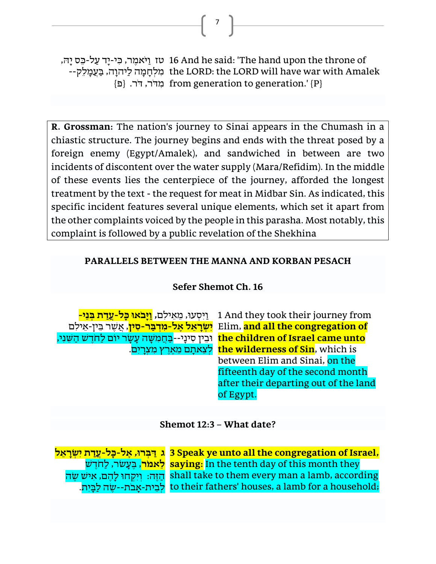טז ַו יֹא ֶׁמר, ִ כי-יָד עַ ל-כ ֵ ס יָה , 16 And he said: 'The hand upon the throne of -- מִלְחָמָה לַיהוָה, בַּעֲמָלֵק the LORD: the LORD will have war with Amalek {פ<sup>}</sup> p m crom generation to generation.' {P}

7

**R. Grossman:** The nation's journey to Sinai appears in the Chumash in a chiastic structure. The journey begins and ends with the threat posed by a foreign enemy (Egypt/Amalek), and sandwiched in between are two incidents of discontent over the water supply (Mara/Refidim). In the middle of these events lies the centerpiece of the journey, afforded the longest treatment by the text - the request for meat in Midbar Sin. As indicated, this specific incident features several unique elements, which set it apart from the other complaints voiced by the people in this parasha. Most notably, this complaint is followed by a public revelation of the Shekhina

### **PARALLELS BETWEEN THE MANNA AND KORBAN PESACH**

### **Sefer Shemot Ch. 16**

ine children of Israel came unto וּבֵין סִינָי--<mark>בַחֲמִשָּׁה עָשָׂר יוֹם לַחֹדֶשׁ הַשֵּׁנִי,</mark>

ַו י **, ַוָּי בֹאו ָּכל-עֲדַ ת ב ְ נֵּי -** ִ ְׂסע ו, ֵמ ֵאי ִלם 1 And they took their journey from **יִש ְ רָּ אֵּ ל אֶ ל-מִ דְ ב ַ ר- סִ ין**, אֲ ש ֶׁ ר ב ֵ ין-אֵ ילִ ם Elim, **and all the congregation of**  לְצֵאתָם מֵאֵרֵץ מְצְרַיִם. **the wilderness of Sin**, which is between Elim and Sinai, on the fifteenth day of the second month after their departing out of the land of Egypt.

**Shemot 12:3 – What date?** 

**ג ַ ד ְ ברו , ֶאל- כ ָּל-עֲדַ ת יִש ְ רָּ אֵּ ל לֵאמֹר,** בֵּעָשׂר, לַחֹדֵשׁ saying: In the tenth day of this month they הַזֶּה: וְיִקְחוּ לַהֶם, אִישׁ שֶׂה לְבֵית-אָבֹת--שֵׂה לַבַּיִת. **3 Speak ye unto all the congregation of Israel,**  shall take to them every man a lamb, according to their fathers' houses, a lamb for a household;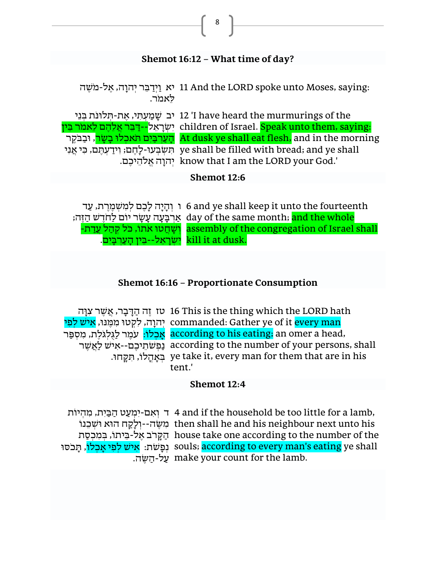## **Shemot 16:12 – What time of day?**

8

יא וַיִּדַבֵּר יִהוָה, אֶל-מֹשֶׁה 11 And the LORD spoke unto Moses, saying: ֵלאמֹר.

יב שָׁמַעְתִּי, אֱת-תְּלוּנֹת בְּנֵי (I have heard the murmurings of the יִשְׂרָאֵל--דַּבֶּר אֲלֵהֵם לֵאמֹר בֵּין children of Israel. Speak unto them, saying: הָעַרְבַּיִם תֹאכִלוּ בָשָׂר, וּבַבֹּקֶר At dusk ye shall eat flesh, and in the morning ת תְּשְׁבְעוּ-לָחֵם; וְידַעְהֵם, כִּי אֲנִי ye shall be filled with bread; and ye shall יְהוָה אֱלֹהֵיכֶם. know that I am the LORD your God.'

### **Shemot 12:6**

ו וְׂ הָ יָה לָכֶׁ ם לְׂ מִ ש ְׂ מֶׁ רֶׁ ת, עַ ד 6 and ye shall keep it unto the fourteenth ַ הַרְּבָעָה עָשָׂר יוֹם לַחֹדֵשׁ הַזֶּה; day of the same month; <mark>and the whole</mark> -וְשָׁחֲטוּ אתוֹ, כֹּל קְהַל עֲדַת assembly of the congregation of Israel shall . יִשְׂרָאֵל--בֵּין הָעַרְבָּיִם. kill it at dusk.

### **Shemot 16:16 – Proportionate Consumption**

טז זֶׁה הַ ד ָ בָ ר, אֲ ש ֶׁ ר צִ ו ָה 16 This is the thing which the LORD hath יְהוָה, לִקְטוּ מִמְנוּ, <mark>אִיש לִפִּי commanded: Gather ye of it <mark>every man</mark></mark> אָבְלֹוּ: עֹמֵר לַגְּלְגֹּלֵת, מִסְפַּר according to his eating; an omer a head, נַפְׂ ש ֹתֵ יכֶׁ ם--אִ יש לַאֲ ש ֶׁ ר according to the number of your persons, shall ָּבְאָהֶלוֹ, תִּקְחוּ. ye take it, every man for them that are in his tent.'

#### **Shemot 12:4**

ד וְׂ אִ ם- יִמְׂ עַ ט הַ ב ַ יִת, מִ הְׂ יוֹת 4 and if the household be too little for a lamb, מִשֶּׂה--וְלָקַח הוֹא וּשִׁבְנוֹ then shall he and his neighbour next unto his ּהַקֶּרֹב אֱל-בֵּיתוֹ, בִּמִּכְסַת house take one according to the number of the ּוָפָּשׁת: <mark>אִיש לְפִי אָכְלוֹ,</mark> תְּכֹסוּ souls; <mark>according to every man's eating</mark> ye shall על-הַשֶּׂה. make your count for the lamb.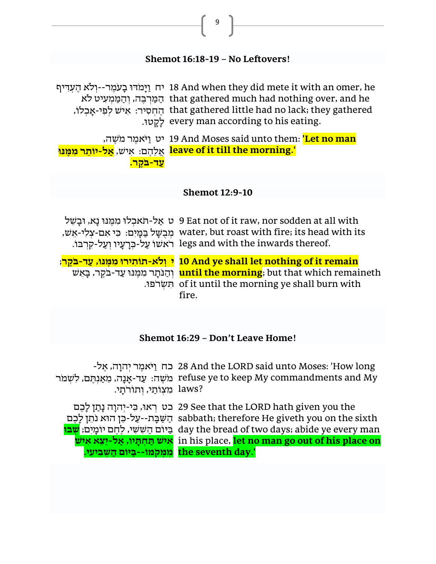### **Shemot 16:18-19 – No Leftovers!**

9

יח וַיָּמֹדוּ בָעֹמֶר--וְלֹא הֶעִדִּיף 18 And when they did mete it with an omer, he הַמַּרְבֵּה, וְהַמֵּמִעִיט לֹא that gathered much had nothing over, and he הֶחְסִיר: אִישׁ לְפִי-אָבְלוֹ, that gathered little had no lack; they gathered לָקָ טו . every man according to his eating.

יט ַו יֹא ֶׁמר מֹ ֶׁשה, 19 And Moses said unto them: **'Let no man**  אֲ לֵהֶׁ ם: אִ יש , **אַ ל-י ֹו ֵּתר ִמ ֶמ נו leave of it till the morning.'** <mark>עַד-בקֵר.</mark>

#### **Shemot 12:9-10**

ט אַל-הֹאכִלוּ מִמְּנוּ נָא, וּבָשֵׁל 9 Eat not of it raw, nor sodden at all with , מִבְשָּׁל בַּמְּיִם: כִּי אִם-צְלִי-אֵשׁ water, but roast with fire; its head with its . רֹאשׁוֹ עַל-כְּרָעָיו וְעַל-קִרְבּוֹ legs and with the inwards thereof.

**י וְ לֹא-תֹו ִתירו ִמ ֶמ נו , ַעד-ב ֹקֶ ר**; **10 And ye shall let nothing of it remain**  וְׂ הַ נ ֹתָ ר מִ מ ֶׁ נ ו עַ ד- ב ֹקֶׁ ר, ב ָ אֵ ש **until the morning**; but that which remaineth תִשְׂרֹפוּ. of it until the morning ye shall burn with fire.

### **Shemot 16:29 – Don't Leave Home!**

כח ַו יֹא ֶׁמר ְׂיהָוה, ֶׁאל- 28 And the LORD said unto Moses: 'How long מֹשֵׁה: עַד-אַנָה, מֵאַנְחֵם, לִשְׁמֹר refuse ye to keep My commandments and My laws? מִצְוֹתֵי, וְתוֹרֹתָי.

כט רְׂ או , כ ִ י -יְׂהוָה נָתַ ן לָכֶׁ ם 29 See that the LORD hath given you the הַשַּׁבָּת--עַל-כֵּן הוּא נֹתֵן לָבֵם sabbath; therefore He giveth you on the sixth ַב יוֹם הַ ש ִ ש ִ י, לֶׁחֶׁ ם יוֹמָ יִם; **ְשבו**  day the bread of two days; abide ye every man **ִאי ש ַת ְח ָּתיו, ַאל-יֵּצֵּ א אִ יש**  in his place, **let no man go out of his place on the seventh day.'** מִמְּקֹמוֹ--בַּיּוֹם הַשָּׁבִיעִי.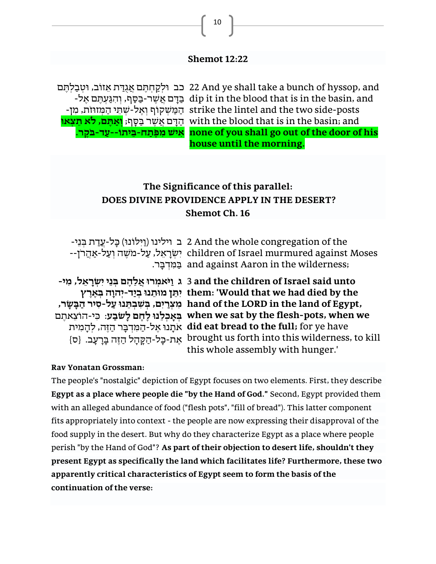### **Shemot 12:22**

כב וּלְקַחְחֶם אֲגָדַת אֵזוֹב, וּטְבַלְחֶם 22 And ye shall take a bunch of hyssop, and -בַּסֵף, וְהִגֵּעְתֵּם אֵל dip it in the blood that is in the basin, and - הַמַּשְׁקוֹף וְאֵל-שַׁתֵּי הַמְּזוּזת, מִן strike the lintel and the two side-posts הַ ד ָ ם אֲ ש ֶׁ ר ב ַ ס ָ ף; **ְו ַא ֶתם, לֹא ֵּת ְצאו**  with the blood that is in the basin; and **אִ יש מִ פ ֶ תַ ח -ב ֵּ יתוֹ -- עַ ד -ב ֹקֶ ר. none of you shall go out of the door of his house until the morning.**

## **The Significance of this parallel: DOES DIVINE PROVIDENCE APPLY IN THE DESERT? Shemot Ch. 16**

ּב וילינו (וַיִּלוֹנוּ) כֵּל-עֲדַת בִּנֵי ( 2 And the whole congregation of the --יִשְׂרָאֵל, עַל-מֹשֶׁה וְעַל-אַהֲרֹן children of Israel murmured against Moses ב ַ מ ִ דְׂ ב ָ ר. and against Aaron in the wilderness;

**ג ַוי ֹא ְמרו ֲא ֵּל ֶהם ְ בֵּני ִי ְ שָּר ֵּאל, ִמי-** 3 **and the children of Israel said unto ִי ֵּתן מו ֵּתנו ְבַיד-יְהוָּה ב ְ אֶ רֶ ץ them: 'Would that we had died by the מִ צְ רַ יִם, ְ ב ִש ְב ֵּתנו ַעל- סִ יר הַ ב ָּ ש ָּ ר, hand of the LORD in the land of Egypt, ְ ב ָּא ְכ ֵּלנו ֶל ֶחם ָּל ֹש ַבע**: כ ִ י-הוֹצֵאתֶׁ ם **when we sat by the flesh-pots, when we**  אֹתָ נו אֶׁ ל- הַ מ ִ דְׂ ב ָ ר הַ ז ֶׁה, לְׂ הָ מִ ית **did eat bread to the full;** for ye have ּ אֱת-כָּל-הַקֶּהָל הַזֶּה בָּרָעָב. {ס} brought us forth into this wilderness, to kill this whole assembly with hunger.'

#### **Rav Yonatan Grossman:**

The people's "nostalgic" depiction of Egypt focuses on two elements. First, they describe **Egypt as a place where people die "by the Hand of God."** Second, Egypt provided them with an alleged abundance of food ("flesh pots", "fill of bread"). This latter component fits appropriately into context - the people are now expressing their disapproval of the food supply in the desert. But why do they characterize Egypt as a place where people perish "by the Hand of God"? **As part of their objection to desert life, shouldn't they present Egypt as specifically the land which facilitates life? Furthermore, these two apparently critical characteristics of Egypt seem to form the basis of the continuation of the verse:**